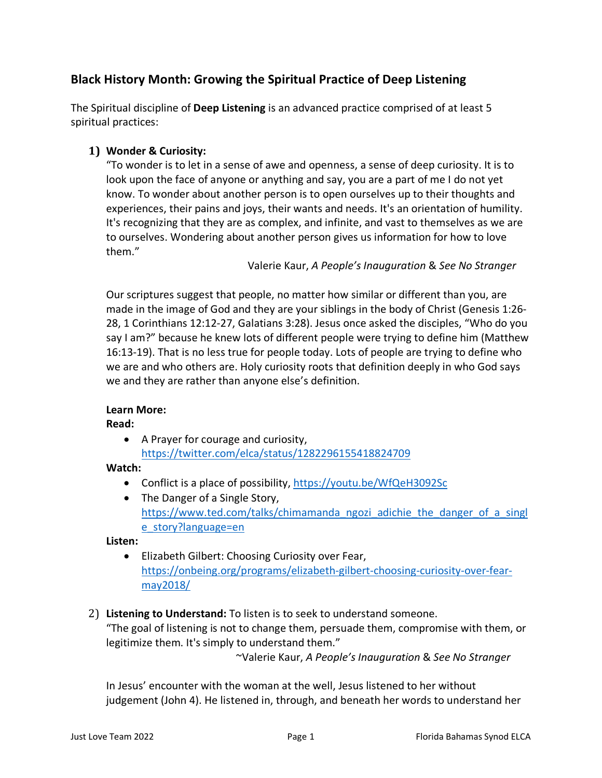# **Black History Month: Growing the Spiritual Practice of Deep Listening**

The Spiritual discipline of **Deep Listening** is an advanced practice comprised of at least 5 spiritual practices:

## **1) Wonder & Curiosity:**

"To wonder is to let in a sense of awe and openness, a sense of deep curiosity. It is to look upon the face of anyone or anything and say, you are a part of me I do not yet know. To wonder about another person is to open ourselves up to their thoughts and experiences, their pains and joys, their wants and needs. It's an orientation of humility. It's recognizing that they are as complex, and infinite, and vast to themselves as we are to ourselves. Wondering about another person gives us information for how to love them."

Valerie Kaur, *A People's Inauguration* & *See No Stranger*

Our scriptures suggest that people, no matter how similar or different than you, are made in the image of God and they are your siblings in the body of Christ (Genesis 1:26- 28, 1 Corinthians 12:12-27, Galatians 3:28). Jesus once asked the disciples, "Who do you say I am?" because he knew lots of different people were trying to define him (Matthew 16:13-19). That is no less true for people today. Lots of people are trying to define who we are and who others are. Holy curiosity roots that definition deeply in who God says we and they are rather than anyone else's definition.

## **Learn More:**

**Read:**

• A Prayer for courage and curiosity, <https://twitter.com/elca/status/1282296155418824709>

**Watch:**

- Conflict is a place of possibility,<https://youtu.be/WfQeH3092Sc>
- The Danger of a Single Story, [https://www.ted.com/talks/chimamanda\\_ngozi\\_adichie\\_the\\_danger\\_of\\_a\\_singl](https://www.ted.com/talks/chimamanda_ngozi_adichie_the_danger_of_a_single_story?language=en) [e\\_story?language=en](https://www.ted.com/talks/chimamanda_ngozi_adichie_the_danger_of_a_single_story?language=en)

**Listen:**

- Elizabeth Gilbert: Choosing Curiosity over Fear, [https://onbeing.org/programs/elizabeth-gilbert-choosing-curiosity-over-fear](https://onbeing.org/programs/elizabeth-gilbert-choosing-curiosity-over-fear-may2018/)[may2018/](https://onbeing.org/programs/elizabeth-gilbert-choosing-curiosity-over-fear-may2018/)
- 2) **Listening to Understand:** To listen is to seek to understand someone. "The goal of listening is not to change them, persuade them, compromise with them, or legitimize them. It's simply to understand them."

~Valerie Kaur, *A People's Inauguration* & *See No Stranger*

In Jesus' encounter with the woman at the well, Jesus listened to her without judgement (John 4). He listened in, through, and beneath her words to understand her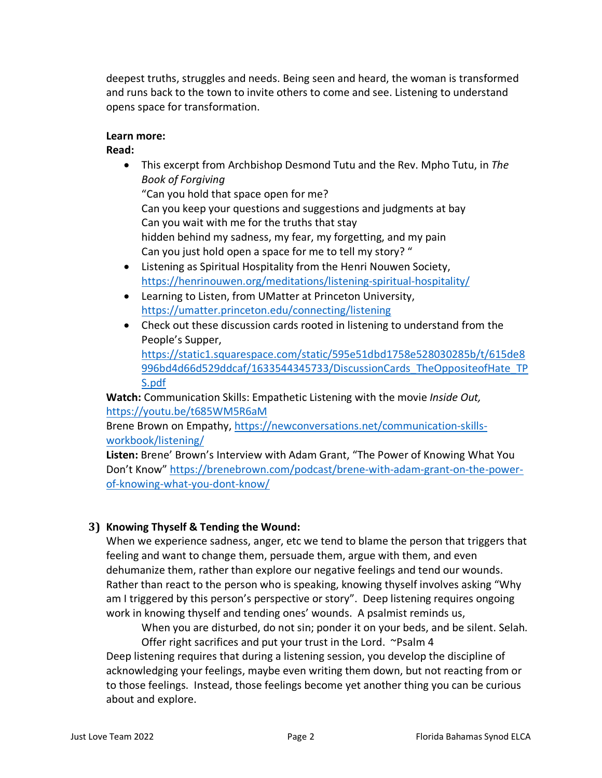deepest truths, struggles and needs. Being seen and heard, the woman is transformed and runs back to the town to invite others to come and see. Listening to understand opens space for transformation.

#### **Learn more:**

**Read:**

• This excerpt from Archbishop Desmond Tutu and the Rev. Mpho Tutu, in *The Book of Forgiving* 

"Can you hold that space open for me?

Can you keep your questions and suggestions and judgments at bay Can you wait with me for the truths that stay hidden behind my sadness, my fear, my forgetting, and my pain

- Can you just hold open a space for me to tell my story? " • Listening as Spiritual Hospitality from the Henri Nouwen Society, <https://henrinouwen.org/meditations/listening-spiritual-hospitality/>
- Learning to Listen, from UMatter at Princeton University, <https://umatter.princeton.edu/connecting/listening>
- Check out these discussion cards rooted in listening to understand from the People's Supper,

[https://static1.squarespace.com/static/595e51dbd1758e528030285b/t/615de8](https://static1.squarespace.com/static/595e51dbd1758e528030285b/t/615de8996bd4d66d529ddcaf/1633544345733/DiscussionCards_TheOppositeofHate_TPS.pdf) [996bd4d66d529ddcaf/1633544345733/DiscussionCards\\_TheOppositeofHate\\_TP](https://static1.squarespace.com/static/595e51dbd1758e528030285b/t/615de8996bd4d66d529ddcaf/1633544345733/DiscussionCards_TheOppositeofHate_TPS.pdf) [S.pdf](https://static1.squarespace.com/static/595e51dbd1758e528030285b/t/615de8996bd4d66d529ddcaf/1633544345733/DiscussionCards_TheOppositeofHate_TPS.pdf)

**Watch:** Communication Skills: Empathetic Listening with the movie *Inside Out,*  <https://youtu.be/t685WM5R6aM>

Brene Brown on Empathy, [https://newconversations.net/communication-skills](https://newconversations.net/communication-skills-workbook/listening/)[workbook/listening/](https://newconversations.net/communication-skills-workbook/listening/)

**Listen:** Brene' Brown's Interview with Adam Grant, "The Power of Knowing What You Don't Know" [https://brenebrown.com/podcast/brene-with-adam-grant-on-the-power](https://brenebrown.com/podcast/brene-with-adam-grant-on-the-power-of-knowing-what-you-dont-know/)[of-knowing-what-you-dont-know/](https://brenebrown.com/podcast/brene-with-adam-grant-on-the-power-of-knowing-what-you-dont-know/)

## **3) Knowing Thyself & Tending the Wound:**

When we experience sadness, anger, etc we tend to blame the person that triggers that feeling and want to change them, persuade them, argue with them, and even dehumanize them, rather than explore our negative feelings and tend our wounds. Rather than react to the person who is speaking, knowing thyself involves asking "Why am I triggered by this person's perspective or story". Deep listening requires ongoing work in knowing thyself and tending ones' wounds. A psalmist reminds us,

When you are disturbed, do not sin; ponder it on your beds, and be silent. Selah. Offer right sacrifices and put your trust in the Lord. ~Psalm 4

Deep listening requires that during a listening session, you develop the discipline of acknowledging your feelings, maybe even writing them down, but not reacting from or to those feelings. Instead, those feelings become yet another thing you can be curious about and explore.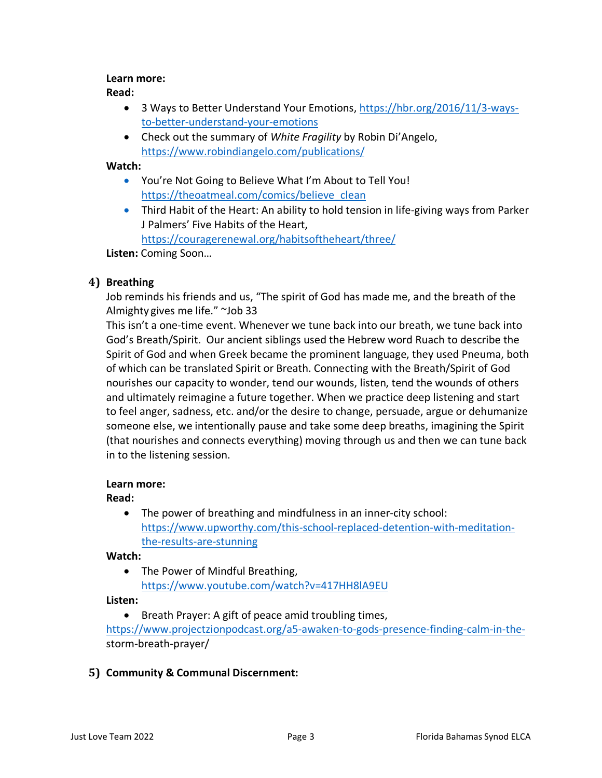#### **Learn more:**

### **Read:**

- 3 Ways to Better Understand Your Emotions[, https://hbr.org/2016/11/3-ways](https://hbr.org/2016/11/3-ways-to-better-understand-your-emotions)[to-better-understand-your-emotions](https://hbr.org/2016/11/3-ways-to-better-understand-your-emotions)
- Check out the summary of *White Fragility* by Robin Di'Angelo, <https://www.robindiangelo.com/publications/>

#### **Watch:**

- You're Not Going to Believe What I'm About to Tell You! [https://theoatmeal.com/comics/believe\\_clean](https://theoatmeal.com/comics/believe_clean)
- Third Habit of the Heart: An ability to hold tension in life-giving ways from Parker J Palmers' Five Habits of the Heart,

<https://couragerenewal.org/habitsoftheheart/three/>

**Listen:** Coming Soon…

## **4) Breathing**

Job reminds his friends and us, "The spirit of God has made me, and the breath of the Almighty gives me life." ~Job 33

This isn't a one-time event. Whenever we tune back into our breath, we tune back into God's Breath/Spirit. Our ancient siblings used the Hebrew word Ruach to describe the Spirit of God and when Greek became the prominent language, they used Pneuma, both of which can be translated Spirit or Breath. Connecting with the Breath/Spirit of God nourishes our capacity to wonder, tend our wounds, listen, tend the wounds of others and ultimately reimagine a future together. When we practice deep listening and start to feel anger, sadness, etc. and/or the desire to change, persuade, argue or dehumanize someone else, we intentionally pause and take some deep breaths, imagining the Spirit (that nourishes and connects everything) moving through us and then we can tune back in to the listening session.

#### **Learn more:**

## **Read:**

• The power of breathing and mindfulness in an inner-city school: [https://www.upworthy.com/this-school-replaced-detention-with-meditation](https://www.upworthy.com/this-school-replaced-detention-with-meditation-the-results-are-stunning)[the-results-are-stunning](https://www.upworthy.com/this-school-replaced-detention-with-meditation-the-results-are-stunning)

## **Watch:**

• The Power of Mindful Breathing, <https://www.youtube.com/watch?v=417HH8lA9EU>

## **Listen:**

• Breath Prayer: A gift of peace amid troubling times,

[https://www.projectzionpodcast.org/a5-awaken-to-gods-presence-finding-calm-in-the](https://www.projectzionpodcast.org/a5-awaken-to-gods-presence-finding-calm-in-the-)storm-breath-prayer/

## **5) Community & Communal Discernment:**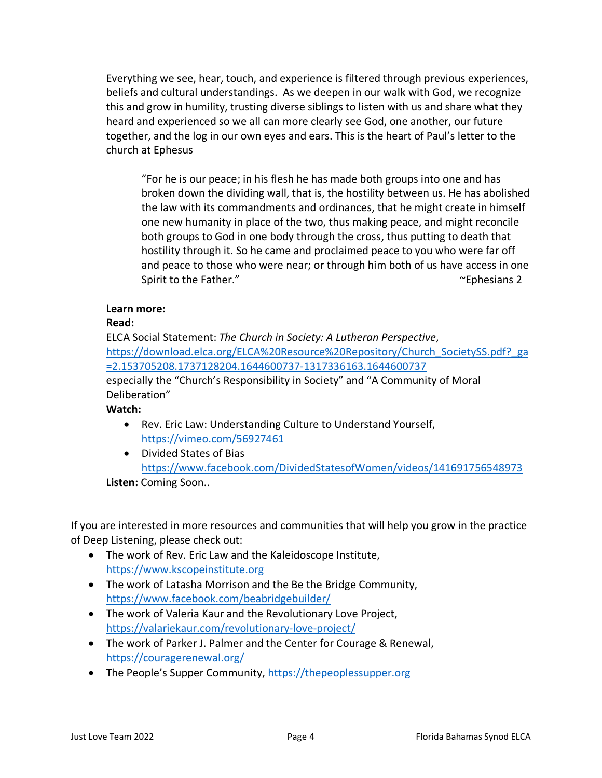Everything we see, hear, touch, and experience is filtered through previous experiences, beliefs and cultural understandings. As we deepen in our walk with God, we recognize this and grow in humility, trusting diverse siblings to listen with us and share what they heard and experienced so we all can more clearly see God, one another, our future together, and the log in our own eyes and ears. This is the heart of Paul's letter to the church at Ephesus

"For he is our peace; in his flesh he has made both groups into one and has broken down the dividing wall, that is, the hostility between us. He has abolished the law with its commandments and ordinances, that he might create in himself one new humanity in place of the two, thus making peace, and might reconcile both groups to God in one body through the cross, thus putting to death that hostility through it. So he came and proclaimed peace to you who were far off and peace to those who were near; or through him both of us have access in one Spirit to the Father." The Contract of the Father."

#### **Learn more:**

#### **Read:**

ELCA Social Statement: *The Church in Society: A Lutheran Perspective*, [https://download.elca.org/ELCA%20Resource%20Repository/Church\\_SocietySS.pdf?\\_ga](https://download.elca.org/ELCA%20Resource%20Repository/Church_SocietySS.pdf?_ga=2.153705208.1737128204.1644600737-1317336163.1644600737) [=2.153705208.1737128204.1644600737-1317336163.1644600737](https://download.elca.org/ELCA%20Resource%20Repository/Church_SocietySS.pdf?_ga=2.153705208.1737128204.1644600737-1317336163.1644600737) especially the "Church's Responsibility in Society" and "A Community of Moral Deliberation"

**Watch:** 

- Rev. Eric Law: Understanding Culture to Understand Yourself, <https://vimeo.com/56927461>
- Divided States of Bias <https://www.facebook.com/DividedStatesofWomen/videos/141691756548973>

**Listen:** Coming Soon..

If you are interested in more resources and communities that will help you grow in the practice of Deep Listening, please check out:

- The work of Rev. Eric Law and the Kaleidoscope Institute, [https://www.kscopeinstitute.org](https://www.kscopeinstitute.org/)
- The work of Latasha Morrison and the Be the Bridge Community, <https://www.facebook.com/beabridgebuilder/>
- The work of Valeria Kaur and the Revolutionary Love Project, <https://valariekaur.com/revolutionary-love-project/>
- The work of Parker J. Palmer and the Center for Courage & Renewal, <https://couragerenewal.org/>
- The People's Supper Community, [https://thepeoplessupper.org](https://thepeoplessupper.org/)